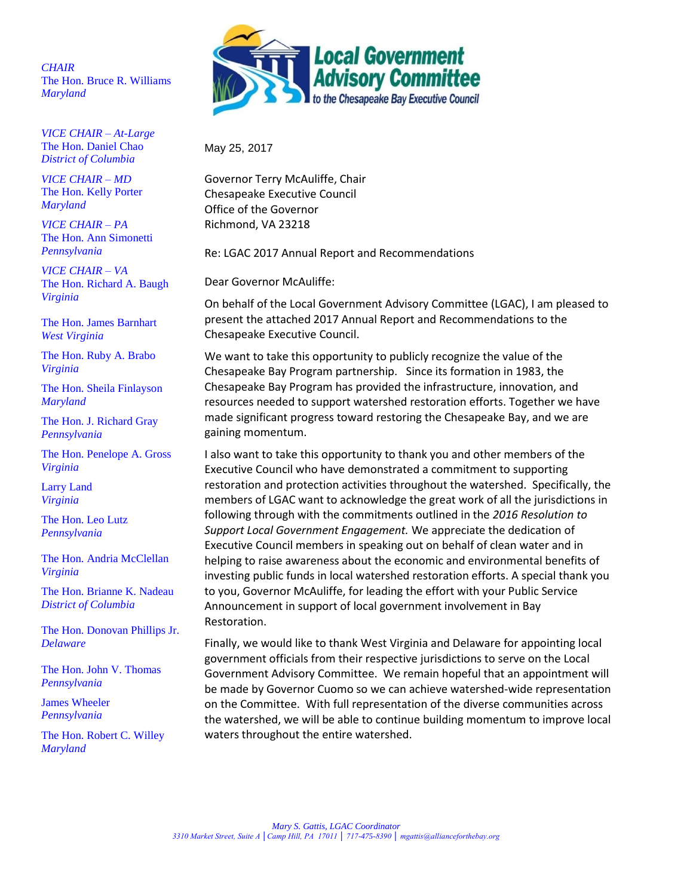*CHAIR* The Hon. Bruce R. Williams *Maryland*

*VICE CHAIR – At-Large* The Hon. Daniel Chao *District of Columbia* 

*VICE CHAIR – MD* The Hon. Kelly Porter *Maryland*

*VICE CHAIR – PA* The Hon. Ann Simonetti *Pennsylvania*

*VICE CHAIR – VA* The Hon. Richard A. Baugh *Virginia*

The Hon. James Barnhart *West Virginia*

The Hon. Ruby A. Brabo *Virginia*

The Hon. Sheila Finlayson *Maryland*

The Hon. J. Richard Gray *Pennsylvania*

The Hon. Penelope A. Gross *Virginia*

Larry Land *Virginia*

The Hon. Leo Lutz *Pennsylvania*

The Hon. Andria McClellan *Virginia*

The Hon. Brianne K. Nadeau *District of Columbia*

The Hon. Donovan Phillips Jr. *Delaware*

The Hon. John V. Thomas *Pennsylvania*

James Wheeler *Pennsylvania* 

The Hon. Robert C. Willey *Maryland*



May 25, 2017

Governor Terry McAuliffe, Chair Chesapeake Executive Council Office of the Governor Richmond, VA 23218

Re: LGAC 2017 Annual Report and Recommendations

Dear Governor McAuliffe:

On behalf of the Local Government Advisory Committee (LGAC), I am pleased to present the attached 2017 Annual Report and Recommendations to the Chesapeake Executive Council.

We want to take this opportunity to publicly recognize the value of the Chesapeake Bay Program partnership. Since its formation in 1983, the Chesapeake Bay Program has provided the infrastructure, innovation, and resources needed to support watershed restoration efforts. Together we have made significant progress toward restoring the Chesapeake Bay, and we are gaining momentum.

I also want to take this opportunity to thank you and other members of the Executive Council who have demonstrated a commitment to supporting restoration and protection activities throughout the watershed. Specifically, the members of LGAC want to acknowledge the great work of all the jurisdictions in following through with the commitments outlined in the *2016 Resolution to Support Local Government Engagement.* We appreciate the dedication of Executive Council members in speaking out on behalf of clean water and in helping to raise awareness about the economic and environmental benefits of investing public funds in local watershed restoration efforts. A special thank you to you, Governor McAuliffe, for leading the effort with your Public Service Announcement in support of local government involvement in Bay Restoration.

Finally, we would like to thank West Virginia and Delaware for appointing local government officials from their respective jurisdictions to serve on the Local Government Advisory Committee. We remain hopeful that an appointment will be made by Governor Cuomo so we can achieve watershed-wide representation on the Committee. With full representation of the diverse communities across the watershed, we will be able to continue building momentum to improve local waters throughout the entire watershed.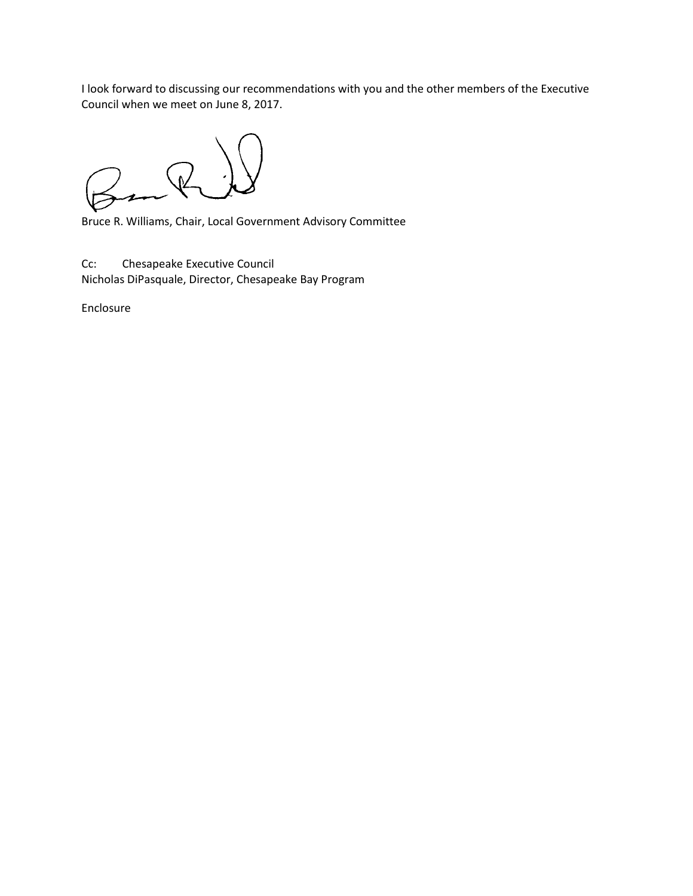I look forward to discussing our recommendations with you and the other members of the Executive Council when we meet on June 8, 2017.

 $\binom{1}{k}$ 

Bruce R. Williams, Chair, Local Government Advisory Committee

Cc: Chesapeake Executive Council Nicholas DiPasquale, Director, Chesapeake Bay Program

Enclosure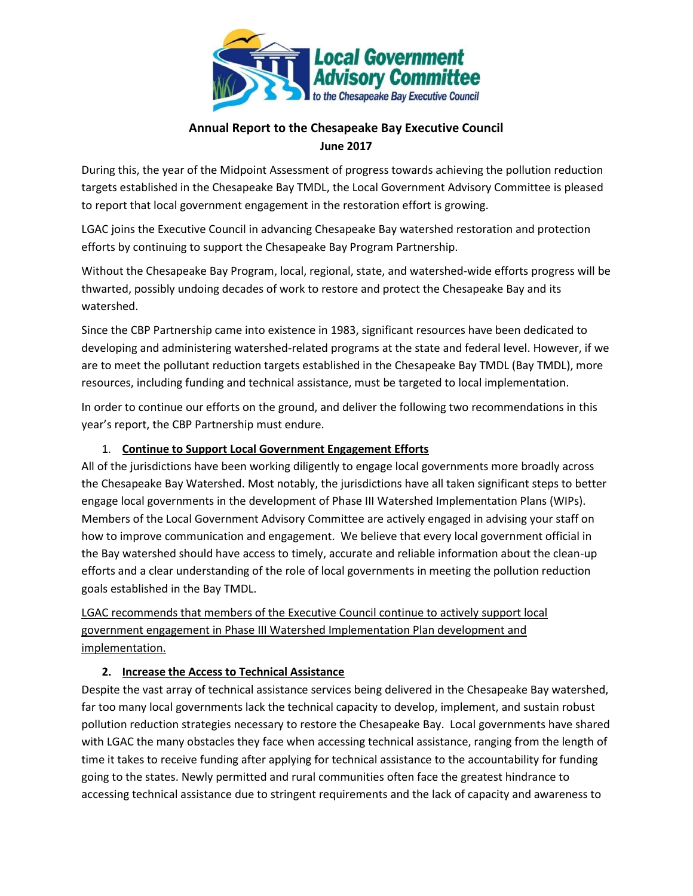

## **Annual Report to the Chesapeake Bay Executive Council June 2017**

During this, the year of the Midpoint Assessment of progress towards achieving the pollution reduction targets established in the Chesapeake Bay TMDL, the Local Government Advisory Committee is pleased to report that local government engagement in the restoration effort is growing.

LGAC joins the Executive Council in advancing Chesapeake Bay watershed restoration and protection efforts by continuing to support the Chesapeake Bay Program Partnership.

Without the Chesapeake Bay Program, local, regional, state, and watershed-wide efforts progress will be thwarted, possibly undoing decades of work to restore and protect the Chesapeake Bay and its watershed.

Since the CBP Partnership came into existence in 1983, significant resources have been dedicated to developing and administering watershed-related programs at the state and federal level. However, if we are to meet the pollutant reduction targets established in the Chesapeake Bay TMDL (Bay TMDL), more resources, including funding and technical assistance, must be targeted to local implementation.

In order to continue our efforts on the ground, and deliver the following two recommendations in this year's report, the CBP Partnership must endure.

## 1. **Continue to Support Local Government Engagement Efforts**

All of the jurisdictions have been working diligently to engage local governments more broadly across the Chesapeake Bay Watershed. Most notably, the jurisdictions have all taken significant steps to better engage local governments in the development of Phase III Watershed Implementation Plans (WIPs). Members of the Local Government Advisory Committee are actively engaged in advising your staff on how to improve communication and engagement. We believe that every local government official in the Bay watershed should have access to timely, accurate and reliable information about the clean-up efforts and a clear understanding of the role of local governments in meeting the pollution reduction goals established in the Bay TMDL.

LGAC recommends that members of the Executive Council continue to actively support local government engagement in Phase III Watershed Implementation Plan development and implementation.

## **2. Increase the Access to Technical Assistance**

Despite the vast array of technical assistance services being delivered in the Chesapeake Bay watershed, far too many local governments lack the technical capacity to develop, implement, and sustain robust pollution reduction strategies necessary to restore the Chesapeake Bay. Local governments have shared with LGAC the many obstacles they face when accessing technical assistance, ranging from the length of time it takes to receive funding after applying for technical assistance to the accountability for funding going to the states. Newly permitted and rural communities often face the greatest hindrance to accessing technical assistance due to stringent requirements and the lack of capacity and awareness to